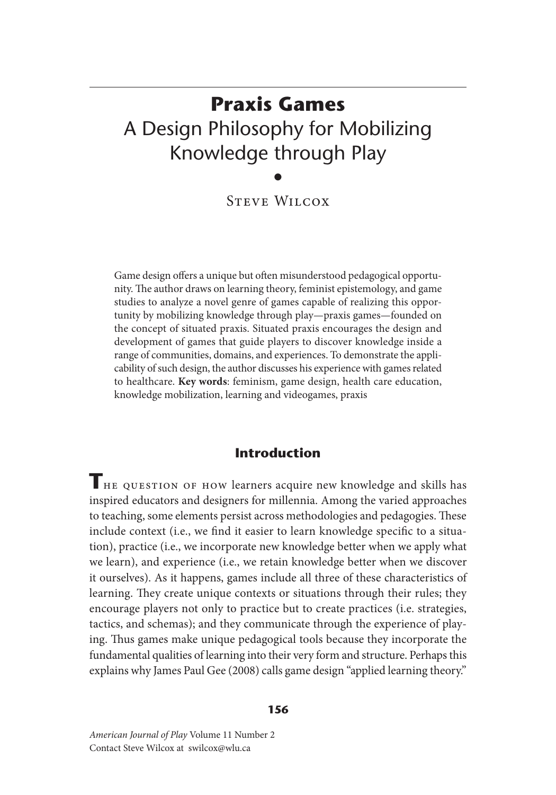# **Praxis Games**  A Design Philosophy for Mobilizing Knowledge through Play

•

Steve Wilcox

Game design offers a unique but often misunderstood pedagogical opportunity. The author draws on learning theory, feminist epistemology, and game studies to analyze a novel genre of games capable of realizing this opportunity by mobilizing knowledge through play—praxis games—founded on the concept of situated praxis. Situated praxis encourages the design and development of games that guide players to discover knowledge inside a range of communities, domains, and experiences. To demonstrate the applicability of such design, the author discusses his experience with games related to healthcare. **Key words**: feminism, game design, health care education, knowledge mobilization, learning and videogames, praxis

# **Introduction**

THE QUESTION OF HOW learners acquire new knowledge and skills has inspired educators and designers for millennia. Among the varied approaches to teaching, some elements persist across methodologies and pedagogies. These include context (i.e., we find it easier to learn knowledge specific to a situation), practice (i.e., we incorporate new knowledge better when we apply what we learn), and experience (i.e., we retain knowledge better when we discover it ourselves). As it happens, games include all three of these characteristics of learning. They create unique contexts or situations through their rules; they encourage players not only to practice but to create practices (i.e. strategies, tactics, and schemas); and they communicate through the experience of playing. Thus games make unique pedagogical tools because they incorporate the fundamental qualities of learning into their very form and structure. Perhaps this explains why James Paul Gee (2008) calls game design "applied learning theory."

#### **156**

*American Journal of Play* Volume 11 Number 2 Contact Steve Wilcox at swilcox@wlu.ca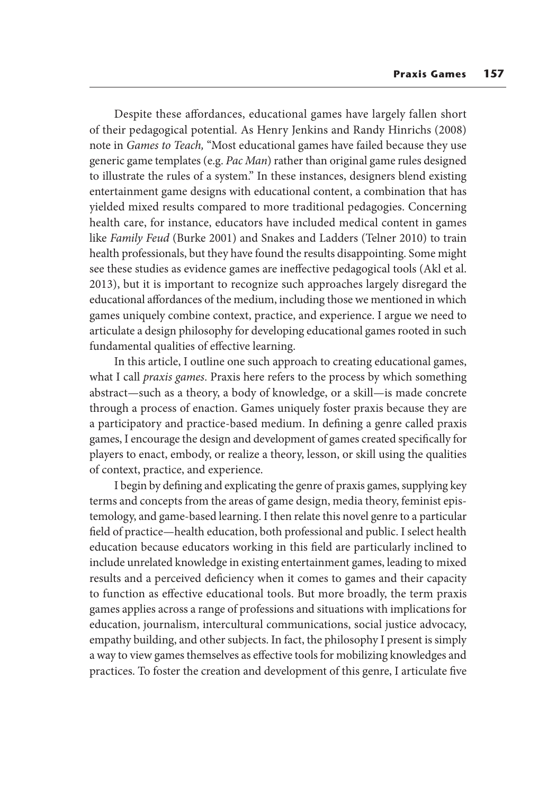Despite these affordances, educational games have largely fallen short of their pedagogical potential. As Henry Jenkins and Randy Hinrichs (2008) note in *Games to Teach,* "Most educational games have failed because they use generic game templates (e.g. *Pac Man*) rather than original game rules designed to illustrate the rules of a system." In these instances, designers blend existing entertainment game designs with educational content, a combination that has yielded mixed results compared to more traditional pedagogies. Concerning health care, for instance, educators have included medical content in games like *Family Feud* (Burke 2001) and Snakes and Ladders (Telner 2010) to train health professionals, but they have found the results disappointing. Some might see these studies as evidence games are ineffective pedagogical tools (Akl et al. 2013), but it is important to recognize such approaches largely disregard the educational affordances of the medium, including those we mentioned in which games uniquely combine context, practice, and experience. I argue we need to articulate a design philosophy for developing educational games rooted in such fundamental qualities of effective learning.

In this article, I outline one such approach to creating educational games, what I call *praxis games*. Praxis here refers to the process by which something abstract—such as a theory, a body of knowledge, or a skill—is made concrete through a process of enaction. Games uniquely foster praxis because they are a participatory and practice-based medium. In defining a genre called praxis games, I encourage the design and development of games created specifically for players to enact, embody, or realize a theory, lesson, or skill using the qualities of context, practice, and experience.

I begin by defining and explicating the genre of praxis games, supplying key terms and concepts from the areas of game design, media theory, feminist epistemology, and game-based learning. I then relate this novel genre to a particular field of practice—health education, both professional and public. I select health education because educators working in this field are particularly inclined to include unrelated knowledge in existing entertainment games, leading to mixed results and a perceived deficiency when it comes to games and their capacity to function as effective educational tools. But more broadly, the term praxis games applies across a range of professions and situations with implications for education, journalism, intercultural communications, social justice advocacy, empathy building, and other subjects. In fact, the philosophy I present is simply a way to view games themselves as effective tools for mobilizing knowledges and practices. To foster the creation and development of this genre, I articulate five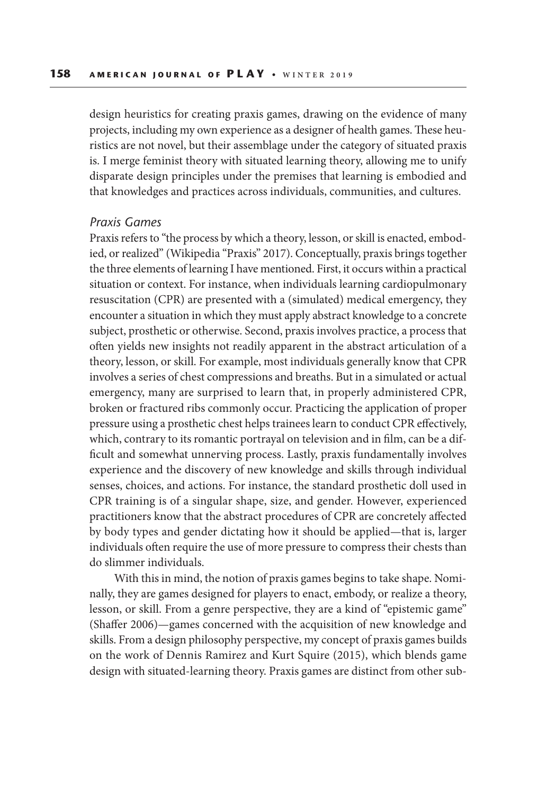design heuristics for creating praxis games, drawing on the evidence of many projects, including my own experience as a designer of health games. These heuristics are not novel, but their assemblage under the category of situated praxis is. I merge feminist theory with situated learning theory, allowing me to unify disparate design principles under the premises that learning is embodied and that knowledges and practices across individuals, communities, and cultures.

## *Praxis Games*

Praxis refers to "the process by which a theory, lesson, or skill is enacted, embodied, or realized" (Wikipedia "Praxis" 2017). Conceptually, praxis brings together the three elements of learning I have mentioned. First, it occurs within a practical situation or context. For instance, when individuals learning cardiopulmonary resuscitation (CPR) are presented with a (simulated) medical emergency, they encounter a situation in which they must apply abstract knowledge to a concrete subject, prosthetic or otherwise. Second, praxis involves practice, a process that often yields new insights not readily apparent in the abstract articulation of a theory, lesson, or skill. For example, most individuals generally know that CPR involves a series of chest compressions and breaths. But in a simulated or actual emergency, many are surprised to learn that, in properly administered CPR, broken or fractured ribs commonly occur. Practicing the application of proper pressure using a prosthetic chest helps trainees learn to conduct CPR effectively, which, contrary to its romantic portrayal on television and in film, can be a difficult and somewhat unnerving process. Lastly, praxis fundamentally involves experience and the discovery of new knowledge and skills through individual senses, choices, and actions. For instance, the standard prosthetic doll used in CPR training is of a singular shape, size, and gender. However, experienced practitioners know that the abstract procedures of CPR are concretely affected by body types and gender dictating how it should be applied—that is, larger individuals often require the use of more pressure to compress their chests than do slimmer individuals.

With this in mind, the notion of praxis games begins to take shape. Nominally, they are games designed for players to enact, embody, or realize a theory, lesson, or skill. From a genre perspective, they are a kind of "epistemic game" (Shaffer 2006)—games concerned with the acquisition of new knowledge and skills. From a design philosophy perspective, my concept of praxis games builds on the work of Dennis Ramirez and Kurt Squire (2015), which blends game design with situated-learning theory. Praxis games are distinct from other sub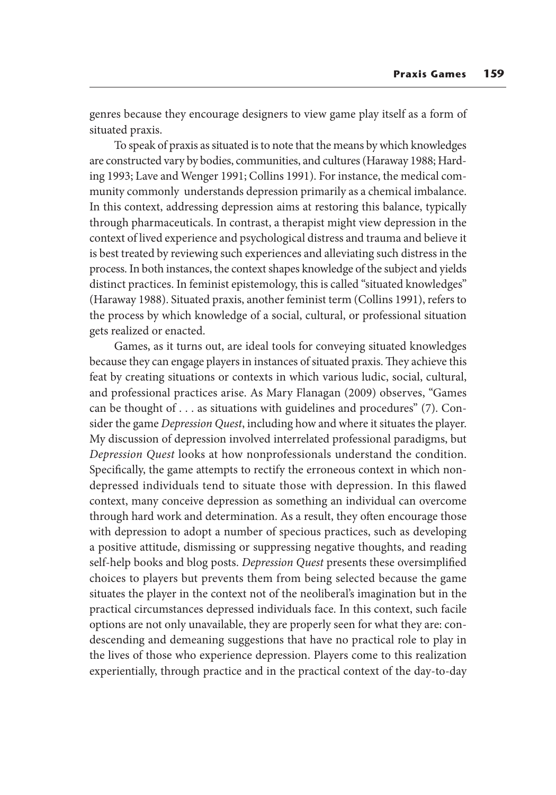genres because they encourage designers to view game play itself as a form of situated praxis.

To speak of praxis as situated is to note that the means by which knowledges are constructed vary by bodies, communities, and cultures (Haraway 1988; Harding 1993; Lave and Wenger 1991; Collins 1991). For instance, the medical community commonly understands depression primarily as a chemical imbalance. In this context, addressing depression aims at restoring this balance, typically through pharmaceuticals. In contrast, a therapist might view depression in the context of lived experience and psychological distress and trauma and believe it is best treated by reviewing such experiences and alleviating such distress in the process. In both instances, the context shapes knowledge of the subject and yields distinct practices. In feminist epistemology, this is called "situated knowledges" (Haraway 1988). Situated praxis, another feminist term (Collins 1991), refers to the process by which knowledge of a social, cultural, or professional situation gets realized or enacted.

Games, as it turns out, are ideal tools for conveying situated knowledges because they can engage players in instances of situated praxis. They achieve this feat by creating situations or contexts in which various ludic, social, cultural, and professional practices arise. As Mary Flanagan (2009) observes, "Games can be thought of . . . as situations with guidelines and procedures" (7). Consider the game *Depression Quest*, including how and where it situates the player. My discussion of depression involved interrelated professional paradigms, but *Depression Quest* looks at how nonprofessionals understand the condition. Specifically, the game attempts to rectify the erroneous context in which nondepressed individuals tend to situate those with depression. In this flawed context, many conceive depression as something an individual can overcome through hard work and determination. As a result, they often encourage those with depression to adopt a number of specious practices, such as developing a positive attitude, dismissing or suppressing negative thoughts, and reading self-help books and blog posts. *Depression Quest* presents these oversimplified choices to players but prevents them from being selected because the game situates the player in the context not of the neoliberal's imagination but in the practical circumstances depressed individuals face. In this context, such facile options are not only unavailable, they are properly seen for what they are: condescending and demeaning suggestions that have no practical role to play in the lives of those who experience depression. Players come to this realization experientially, through practice and in the practical context of the day-to-day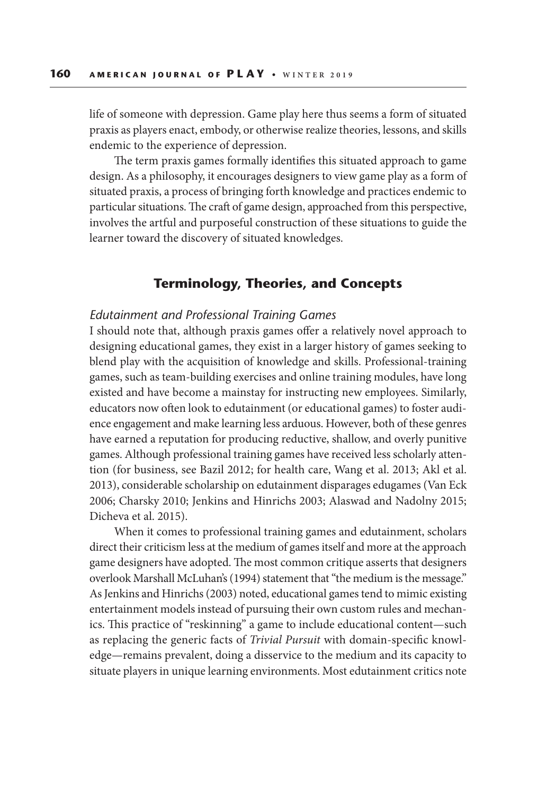life of someone with depression. Game play here thus seems a form of situated praxis as players enact, embody, or otherwise realize theories, lessons, and skills endemic to the experience of depression.

The term praxis games formally identifies this situated approach to game design. As a philosophy, it encourages designers to view game play as a form of situated praxis, a process of bringing forth knowledge and practices endemic to particular situations. The craft of game design, approached from this perspective, involves the artful and purposeful construction of these situations to guide the learner toward the discovery of situated knowledges.

# **Terminology, Theories, and Concepts**

## *Edutainment and Professional Training Games*

I should note that, although praxis games offer a relatively novel approach to designing educational games, they exist in a larger history of games seeking to blend play with the acquisition of knowledge and skills. Professional-training games, such as team-building exercises and online training modules, have long existed and have become a mainstay for instructing new employees. Similarly, educators now often look to edutainment (or educational games) to foster audience engagement and make learning less arduous. However, both of these genres have earned a reputation for producing reductive, shallow, and overly punitive games. Although professional training games have received less scholarly attention (for business, see Bazil 2012; for health care, Wang et al. 2013; Akl et al. 2013), considerable scholarship on edutainment disparages edugames (Van Eck 2006; Charsky 2010; Jenkins and Hinrichs 2003; Alaswad and Nadolny 2015; Dicheva et al. 2015).

When it comes to professional training games and edutainment, scholars direct their criticism less at the medium of games itself and more at the approach game designers have adopted. The most common critique asserts that designers overlook Marshall McLuhan's (1994) statement that "the medium is the message." As Jenkins and Hinrichs (2003) noted, educational games tend to mimic existing entertainment models instead of pursuing their own custom rules and mechanics. This practice of "reskinning" a game to include educational content—such as replacing the generic facts of *Trivial Pursuit* with domain-specific knowledge—remains prevalent, doing a disservice to the medium and its capacity to situate players in unique learning environments. Most edutainment critics note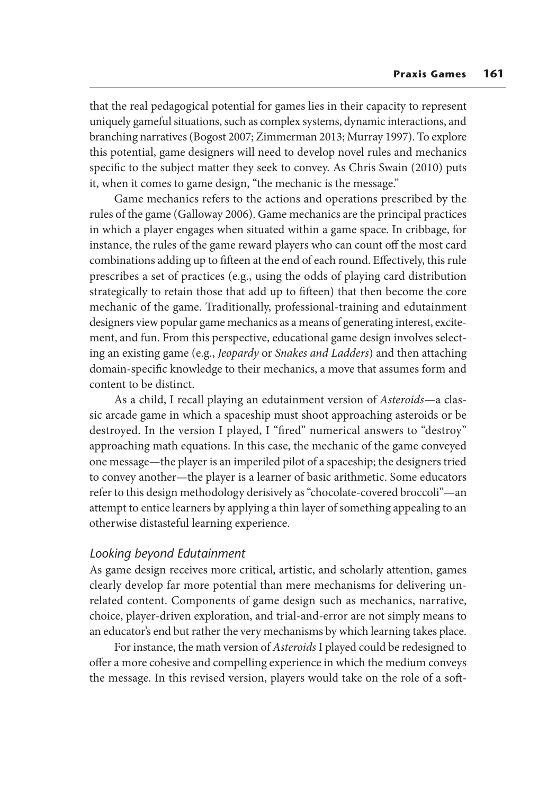that the real pedagogical potential for games lies in their capacity to represent uniquely gameful situations, such as complex systems, dynamic interactions, and branching narratives (Bogost 2007; Zimmerman 2013; Murray 1997). To explore this potential, game designers will need to develop novel rules and mechanics specific to the subject matter they seek to convey. As Chris Swain (2010) puts it, when it comes to game design, "the mechanic is the message."

Game mechanics refers to the actions and operations prescribed by the rules of the game (Galloway 2006). Game mechanics are the principal practices in which a player engages when situated within a game space. In cribbage, for instance, the rules of the game reward players who can count off the most card combinations adding up to fifteen at the end of each round. Effectively, this rule prescribes a set of practices (e.g., using the odds of playing card distribution strategically to retain those that add up to fifteen) that then become the core mechanic of the game. Traditionally, professional-training and edutainment designers view popular game mechanics as a means of generating interest, excitement, and fun. From this perspective, educational game design involves selecting an existing game (e.g., *Jeopardy* or *Snakes and Ladders*) and then attaching domain-specific knowledge to their mechanics, a move that assumes form and content to be distinct.

As a child, I recall playing an edutainment version of *Asteroids*—a classic arcade game in which a spaceship must shoot approaching asteroids or be destroyed. In the version I played, I "fired" numerical answers to "destroy" approaching math equations. In this case, the mechanic of the game conveyed one message—the player is an imperiled pilot of a spaceship; the designers tried to convey another—the player is a learner of basic arithmetic. Some educators refer to this design methodology derisively as "chocolate-covered broccoli"—an attempt to entice learners by applying a thin layer of something appealing to an otherwise distasteful learning experience.

## *Looking beyond Edutainment*

As game design receives more critical, artistic, and scholarly attention, games clearly develop far more potential than mere mechanisms for delivering unrelated content. Components of game design such as mechanics, narrative, choice, player-driven exploration, and trial-and-error are not simply means to an educator's end but rather the very mechanisms by which learning takes place.

For instance, the math version of *Asteroids* I played could be redesigned to offer a more cohesive and compelling experience in which the medium conveys the message. In this revised version, players would take on the role of a soft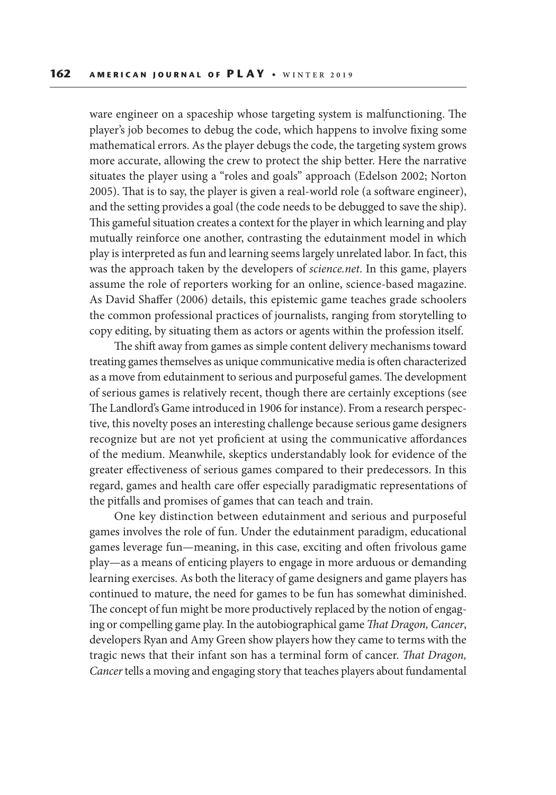ware engineer on a spaceship whose targeting system is malfunctioning. The player's job becomes to debug the code, which happens to involve fixing some mathematical errors. As the player debugs the code, the targeting system grows more accurate, allowing the crew to protect the ship better. Here the narrative situates the player using a "roles and goals" approach (Edelson 2002; Norton 2005). That is to say, the player is given a real-world role (a software engineer), and the setting provides a goal (the code needs to be debugged to save the ship). This gameful situation creates a context for the player in which learning and play mutually reinforce one another, contrasting the edutainment model in which play is interpreted as fun and learning seems largely unrelated labor. In fact, this was the approach taken by the developers of *science.net*. In this game, players assume the role of reporters working for an online, science-based magazine. As David Shaffer (2006) details, this epistemic game teaches grade schoolers the common professional practices of journalists, ranging from storytelling to copy editing, by situating them as actors or agents within the profession itself.

The shift away from games as simple content delivery mechanisms toward treating games themselves as unique communicative media is often characterized as a move from edutainment to serious and purposeful games. The development of serious games is relatively recent, though there are certainly exceptions (see The Landlord's Game introduced in 1906 for instance). From a research perspective, this novelty poses an interesting challenge because serious game designers recognize but are not yet proficient at using the communicative affordances of the medium. Meanwhile, skeptics understandably look for evidence of the greater effectiveness of serious games compared to their predecessors. In this regard, games and health care offer especially paradigmatic representations of the pitfalls and promises of games that can teach and train.

One key distinction between edutainment and serious and purposeful games involves the role of fun. Under the edutainment paradigm, educational games leverage fun—meaning, in this case, exciting and often frivolous game play—as a means of enticing players to engage in more arduous or demanding learning exercises. As both the literacy of game designers and game players has continued to mature, the need for games to be fun has somewhat diminished. The concept of fun might be more productively replaced by the notion of engaging or compelling game play. In the autobiographical game *That Dragon, Cancer*, developers Ryan and Amy Green show players how they came to terms with the tragic news that their infant son has a terminal form of cancer. *That Dragon, Cancer* tells a moving and engaging story that teaches players about fundamental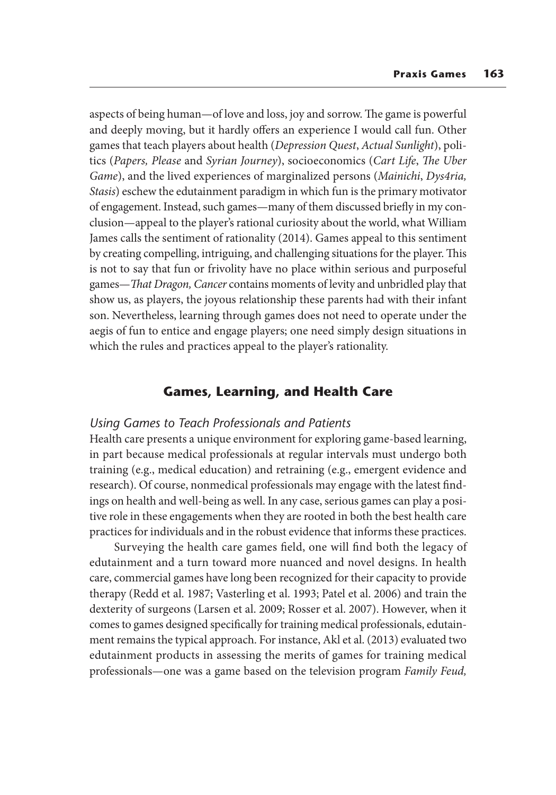aspects of being human—of love and loss, joy and sorrow. The game is powerful and deeply moving, but it hardly offers an experience I would call fun. Other games that teach players about health (*Depression Quest*, *Actual Sunlight*), politics (*Papers, Please* and *Syrian Journey*), socioeconomics (*Cart Life*, *The Uber Game*), and the lived experiences of marginalized persons (*Mainichi*, *Dys4ria, Stasis*) eschew the edutainment paradigm in which fun is the primary motivator of engagement. Instead, such games—many of them discussed briefly in my conclusion—appeal to the player's rational curiosity about the world, what William James calls the sentiment of rationality (2014). Games appeal to this sentiment by creating compelling, intriguing, and challenging situations for the player. This is not to say that fun or frivolity have no place within serious and purposeful games—*That Dragon, Cancer* contains moments of levity and unbridled play that show us, as players, the joyous relationship these parents had with their infant son. Nevertheless, learning through games does not need to operate under the aegis of fun to entice and engage players; one need simply design situations in which the rules and practices appeal to the player's rationality.

# **Games, Learning, and Health Care**

## *Using Games to Teach Professionals and Patients*

Health care presents a unique environment for exploring game-based learning, in part because medical professionals at regular intervals must undergo both training (e.g., medical education) and retraining (e.g., emergent evidence and research). Of course, nonmedical professionals may engage with the latest findings on health and well-being as well. In any case, serious games can play a positive role in these engagements when they are rooted in both the best health care practices for individuals and in the robust evidence that informs these practices.

Surveying the health care games field, one will find both the legacy of edutainment and a turn toward more nuanced and novel designs. In health care, commercial games have long been recognized for their capacity to provide therapy (Redd et al. 1987; Vasterling et al. 1993; Patel et al. 2006) and train the dexterity of surgeons (Larsen et al. 2009; Rosser et al. 2007). However, when it comes to games designed specifically for training medical professionals, edutainment remains the typical approach. For instance, Akl et al. (2013) evaluated two edutainment products in assessing the merits of games for training medical professionals—one was a game based on the television program *Family Feud,*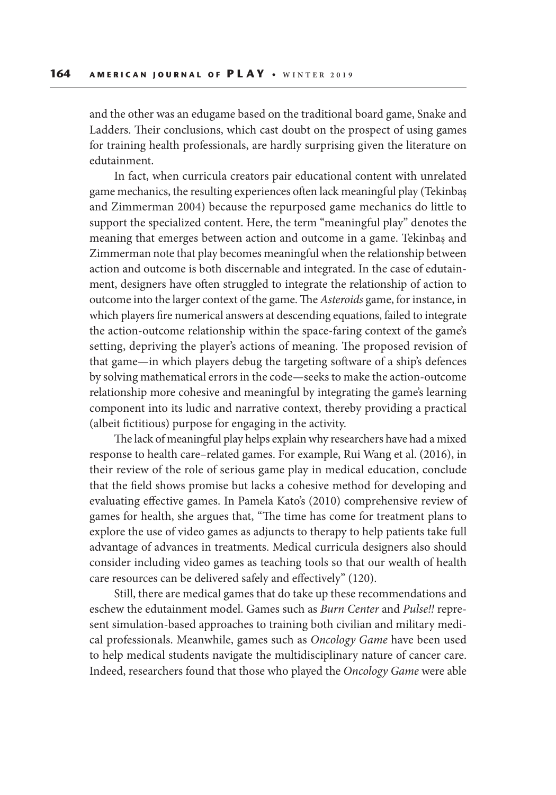and the other was an edugame based on the traditional board game, Snake and Ladders. Their conclusions, which cast doubt on the prospect of using games for training health professionals, are hardly surprising given the literature on edutainment.

In fact, when curricula creators pair educational content with unrelated game mechanics, the resulting experiences often lack meaningful play (Tekinbaş and Zimmerman 2004) because the repurposed game mechanics do little to support the specialized content. Here, the term "meaningful play" denotes the meaning that emerges between action and outcome in a game. Tekinbaş and Zimmerman note that play becomes meaningful when the relationship between action and outcome is both discernable and integrated. In the case of edutainment, designers have often struggled to integrate the relationship of action to outcome into the larger context of the game. The *Asteroids* game, for instance, in which players fire numerical answers at descending equations, failed to integrate the action-outcome relationship within the space-faring context of the game's setting, depriving the player's actions of meaning. The proposed revision of that game—in which players debug the targeting software of a ship's defences by solving mathematical errors in the code—seeks to make the action-outcome relationship more cohesive and meaningful by integrating the game's learning component into its ludic and narrative context, thereby providing a practical (albeit fictitious) purpose for engaging in the activity.

The lack of meaningful play helps explain why researchers have had a mixed response to health care–related games. For example, Rui Wang et al. (2016), in their review of the role of serious game play in medical education, conclude that the field shows promise but lacks a cohesive method for developing and evaluating effective games. In Pamela Kato's (2010) comprehensive review of games for health, she argues that, "The time has come for treatment plans to explore the use of video games as adjuncts to therapy to help patients take full advantage of advances in treatments. Medical curricula designers also should consider including video games as teaching tools so that our wealth of health care resources can be delivered safely and effectively" (120).

Still, there are medical games that do take up these recommendations and eschew the edutainment model. Games such as *Burn Center* and *Pulse!!* represent simulation-based approaches to training both civilian and military medical professionals. Meanwhile, games such as *Oncology Game* have been used to help medical students navigate the multidisciplinary nature of cancer care. Indeed, researchers found that those who played the *Oncology Game* were able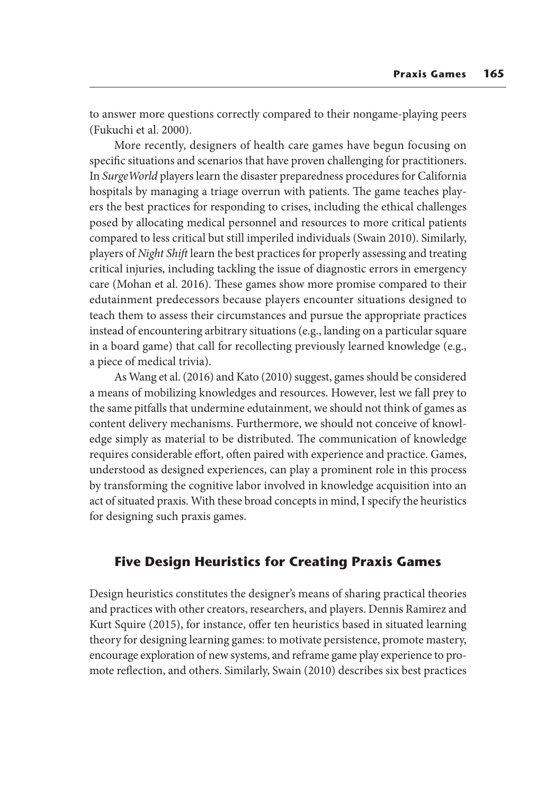to answer more questions correctly compared to their nongame-playing peers (Fukuchi et al. 2000).

More recently, designers of health care games have begun focusing on specific situations and scenarios that have proven challenging for practitioners. In *SurgeWorld* players learn the disaster preparedness procedures for California hospitals by managing a triage overrun with patients. The game teaches players the best practices for responding to crises, including the ethical challenges posed by allocating medical personnel and resources to more critical patients compared to less critical but still imperiled individuals (Swain 2010). Similarly, players of *Night Shift* learn the best practices for properly assessing and treating critical injuries, including tackling the issue of diagnostic errors in emergency care (Mohan et al. 2016). These games show more promise compared to their edutainment predecessors because players encounter situations designed to teach them to assess their circumstances and pursue the appropriate practices instead of encountering arbitrary situations (e.g., landing on a particular square in a board game) that call for recollecting previously learned knowledge (e.g., a piece of medical trivia).

As Wang et al. (2016) and Kato (2010) suggest, games should be considered a means of mobilizing knowledges and resources. However, lest we fall prey to the same pitfalls that undermine edutainment, we should not think of games as content delivery mechanisms. Furthermore, we should not conceive of knowledge simply as material to be distributed. The communication of knowledge requires considerable effort, often paired with experience and practice. Games, understood as designed experiences, can play a prominent role in this process by transforming the cognitive labor involved in knowledge acquisition into an act of situated praxis. With these broad concepts in mind, I specify the heuristics for designing such praxis games.

# **Five Design Heuristics for Creating Praxis Games**

Design heuristics constitutes the designer's means of sharing practical theories and practices with other creators, researchers, and players. Dennis Ramirez and Kurt Squire (2015), for instance, offer ten heuristics based in situated learning theory for designing learning games: to motivate persistence, promote mastery, encourage exploration of new systems, and reframe game play experience to promote reflection, and others. Similarly, Swain (2010) describes six best practices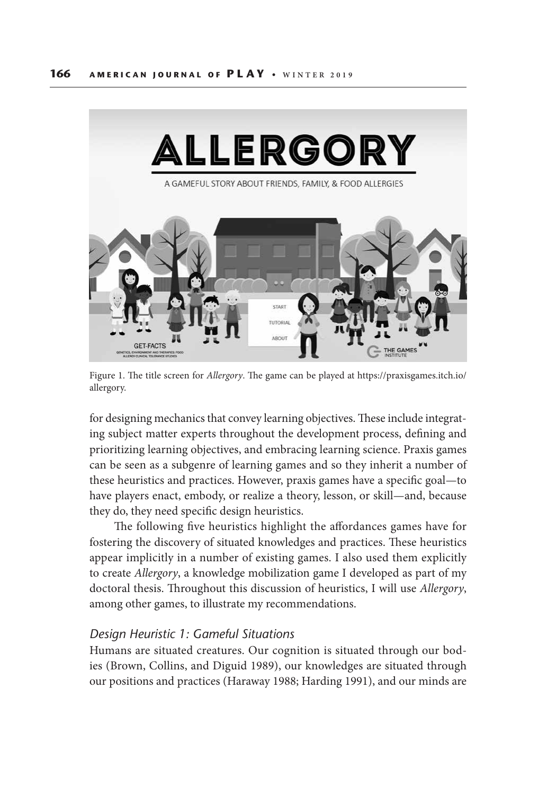

Figure 1. The title screen for *Allergory*. The game can be played at https://praxisgames.itch.io/ allergory.

for designing mechanics that convey learning objectives. These include integrating subject matter experts throughout the development process, defining and prioritizing learning objectives, and embracing learning science. Praxis games can be seen as a subgenre of learning games and so they inherit a number of these heuristics and practices. However, praxis games have a specific goal—to have players enact, embody, or realize a theory, lesson, or skill—and, because they do, they need specific design heuristics.

The following five heuristics highlight the affordances games have for fostering the discovery of situated knowledges and practices. These heuristics appear implicitly in a number of existing games. I also used them explicitly to create *Allergory*, a knowledge mobilization game I developed as part of my doctoral thesis. Throughout this discussion of heuristics, I will use *Allergory*, among other games, to illustrate my recommendations.

## *Design Heuristic 1: Gameful Situations*

Humans are situated creatures. Our cognition is situated through our bodies (Brown, Collins, and Diguid 1989), our knowledges are situated through our positions and practices (Haraway 1988; Harding 1991), and our minds are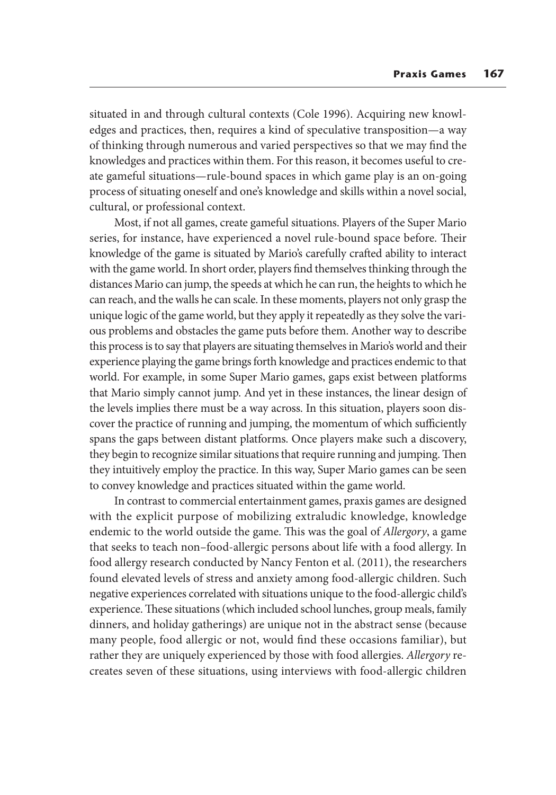situated in and through cultural contexts (Cole 1996). Acquiring new knowledges and practices, then, requires a kind of speculative transposition—a way of thinking through numerous and varied perspectives so that we may find the knowledges and practices within them. For this reason, it becomes useful to create gameful situations—rule-bound spaces in which game play is an on-going process of situating oneself and one's knowledge and skills within a novel social, cultural, or professional context.

Most, if not all games, create gameful situations. Players of the Super Mario series, for instance, have experienced a novel rule-bound space before. Their knowledge of the game is situated by Mario's carefully crafted ability to interact with the game world. In short order, players find themselves thinking through the distances Mario can jump, the speeds at which he can run, the heights to which he can reach, and the walls he can scale. In these moments, players not only grasp the unique logic of the game world, but they apply it repeatedly as they solve the various problems and obstacles the game puts before them. Another way to describe this process is to say that players are situating themselves in Mario's world and their experience playing the game brings forth knowledge and practices endemic to that world. For example, in some Super Mario games, gaps exist between platforms that Mario simply cannot jump. And yet in these instances, the linear design of the levels implies there must be a way across. In this situation, players soon discover the practice of running and jumping, the momentum of which sufficiently spans the gaps between distant platforms. Once players make such a discovery, they begin to recognize similar situations that require running and jumping. Then they intuitively employ the practice. In this way, Super Mario games can be seen to convey knowledge and practices situated within the game world.

In contrast to commercial entertainment games, praxis games are designed with the explicit purpose of mobilizing extraludic knowledge, knowledge endemic to the world outside the game. This was the goal of *Allergory*, a game that seeks to teach non–food-allergic persons about life with a food allergy. In food allergy research conducted by Nancy Fenton et al. (2011), the researchers found elevated levels of stress and anxiety among food-allergic children. Such negative experiences correlated with situations unique to the food-allergic child's experience. These situations (which included school lunches, group meals, family dinners, and holiday gatherings) are unique not in the abstract sense (because many people, food allergic or not, would find these occasions familiar), but rather they are uniquely experienced by those with food allergies. *Allergory* recreates seven of these situations, using interviews with food-allergic children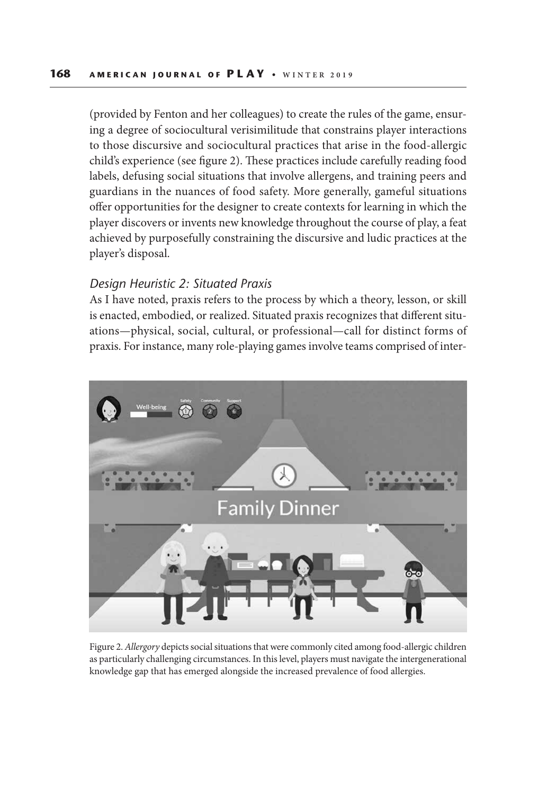(provided by Fenton and her colleagues) to create the rules of the game, ensuring a degree of sociocultural verisimilitude that constrains player interactions to those discursive and sociocultural practices that arise in the food-allergic child's experience (see figure 2). These practices include carefully reading food labels, defusing social situations that involve allergens, and training peers and guardians in the nuances of food safety. More generally, gameful situations offer opportunities for the designer to create contexts for learning in which the player discovers or invents new knowledge throughout the course of play, a feat achieved by purposefully constraining the discursive and ludic practices at the player's disposal.

## *Design Heuristic 2: Situated Praxis*

As I have noted, praxis refers to the process by which a theory, lesson, or skill is enacted, embodied, or realized. Situated praxis recognizes that different situations—physical, social, cultural, or professional—call for distinct forms of praxis. For instance, many role-playing games involve teams comprised of inter-



Figure 2. *Allergory* depicts social situations that were commonly cited among food-allergic children as particularly challenging circumstances. In this level, players must navigate the intergenerational knowledge gap that has emerged alongside the increased prevalence of food allergies.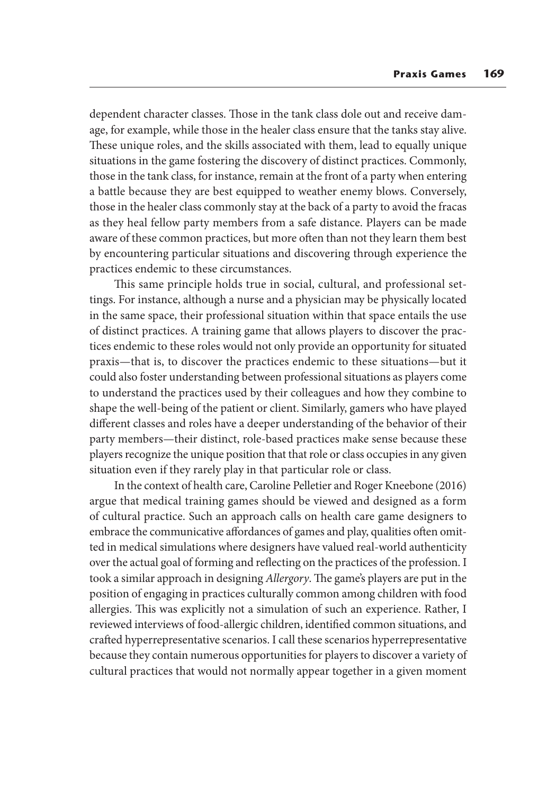dependent character classes. Those in the tank class dole out and receive damage, for example, while those in the healer class ensure that the tanks stay alive. These unique roles, and the skills associated with them, lead to equally unique situations in the game fostering the discovery of distinct practices. Commonly, those in the tank class, for instance, remain at the front of a party when entering a battle because they are best equipped to weather enemy blows. Conversely, those in the healer class commonly stay at the back of a party to avoid the fracas as they heal fellow party members from a safe distance. Players can be made aware of these common practices, but more often than not they learn them best by encountering particular situations and discovering through experience the practices endemic to these circumstances.

This same principle holds true in social, cultural, and professional settings. For instance, although a nurse and a physician may be physically located in the same space, their professional situation within that space entails the use of distinct practices. A training game that allows players to discover the practices endemic to these roles would not only provide an opportunity for situated praxis—that is, to discover the practices endemic to these situations—but it could also foster understanding between professional situations as players come to understand the practices used by their colleagues and how they combine to shape the well-being of the patient or client. Similarly, gamers who have played different classes and roles have a deeper understanding of the behavior of their party members—their distinct, role-based practices make sense because these players recognize the unique position that that role or class occupies in any given situation even if they rarely play in that particular role or class.

In the context of health care, Caroline Pelletier and Roger Kneebone (2016) argue that medical training games should be viewed and designed as a form of cultural practice. Such an approach calls on health care game designers to embrace the communicative affordances of games and play, qualities often omitted in medical simulations where designers have valued real-world authenticity over the actual goal of forming and reflecting on the practices of the profession. I took a similar approach in designing *Allergory*. The game's players are put in the position of engaging in practices culturally common among children with food allergies. This was explicitly not a simulation of such an experience. Rather, I reviewed interviews of food-allergic children, identified common situations, and crafted hyperrepresentative scenarios. I call these scenarios hyperrepresentative because they contain numerous opportunities for players to discover a variety of cultural practices that would not normally appear together in a given moment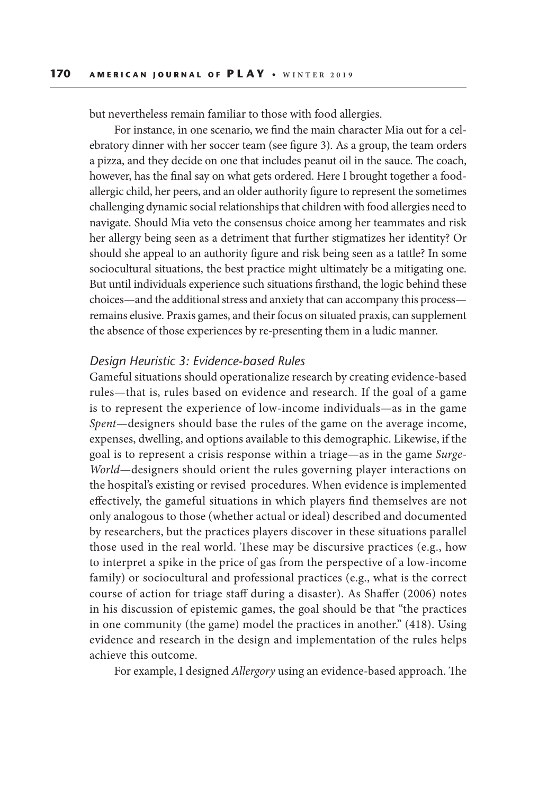but nevertheless remain familiar to those with food allergies.

For instance, in one scenario, we find the main character Mia out for a celebratory dinner with her soccer team (see figure 3). As a group, the team orders a pizza, and they decide on one that includes peanut oil in the sauce. The coach, however, has the final say on what gets ordered. Here I brought together a foodallergic child, her peers, and an older authority figure to represent the sometimes challenging dynamic social relationships that children with food allergies need to navigate. Should Mia veto the consensus choice among her teammates and risk her allergy being seen as a detriment that further stigmatizes her identity? Or should she appeal to an authority figure and risk being seen as a tattle? In some sociocultural situations, the best practice might ultimately be a mitigating one. But until individuals experience such situations firsthand, the logic behind these choices—and the additional stress and anxiety that can accompany this process remains elusive. Praxis games, and their focus on situated praxis, can supplement the absence of those experiences by re-presenting them in a ludic manner.

## *Design Heuristic 3: Evidence-based Rules*

Gameful situations should operationalize research by creating evidence-based rules—that is, rules based on evidence and research. If the goal of a game is to represent the experience of low-income individuals—as in the game *Spent*—designers should base the rules of the game on the average income, expenses, dwelling, and options available to this demographic. Likewise, if the goal is to represent a crisis response within a triage—as in the game *Surge-World*—designers should orient the rules governing player interactions on the hospital's existing or revised procedures. When evidence is implemented effectively, the gameful situations in which players find themselves are not only analogous to those (whether actual or ideal) described and documented by researchers, but the practices players discover in these situations parallel those used in the real world. These may be discursive practices (e.g., how to interpret a spike in the price of gas from the perspective of a low-income family) or sociocultural and professional practices (e.g., what is the correct course of action for triage staff during a disaster). As Shaffer (2006) notes in his discussion of epistemic games, the goal should be that "the practices in one community (the game) model the practices in another." (418). Using evidence and research in the design and implementation of the rules helps achieve this outcome.

For example, I designed *Allergory* using an evidence-based approach. The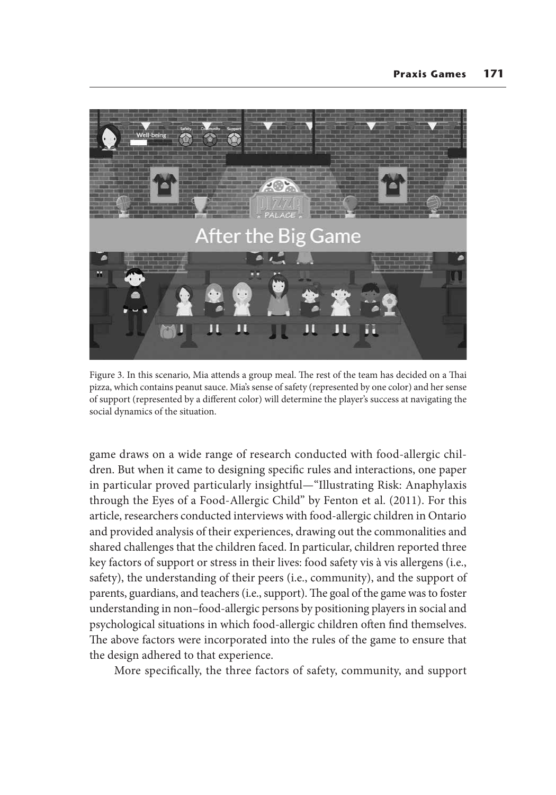

Figure 3. In this scenario, Mia attends a group meal. The rest of the team has decided on a Thai pizza, which contains peanut sauce. Mia's sense of safety (represented by one color) and her sense of support (represented by a different color) will determine the player's success at navigating the social dynamics of the situation.

game draws on a wide range of research conducted with food-allergic children. But when it came to designing specific rules and interactions, one paper in particular proved particularly insightful—"Illustrating Risk: Anaphylaxis through the Eyes of a Food-Allergic Child" by Fenton et al. (2011). For this article, researchers conducted interviews with food-allergic children in Ontario and provided analysis of their experiences, drawing out the commonalities and shared challenges that the children faced. In particular, children reported three key factors of support or stress in their lives: food safety vis à vis allergens (i.e., safety), the understanding of their peers (i.e., community), and the support of parents, guardians, and teachers (i.e., support). The goal of the game was to foster understanding in non–food-allergic persons by positioning players in social and psychological situations in which food-allergic children often find themselves. The above factors were incorporated into the rules of the game to ensure that the design adhered to that experience.

More specifically, the three factors of safety, community, and support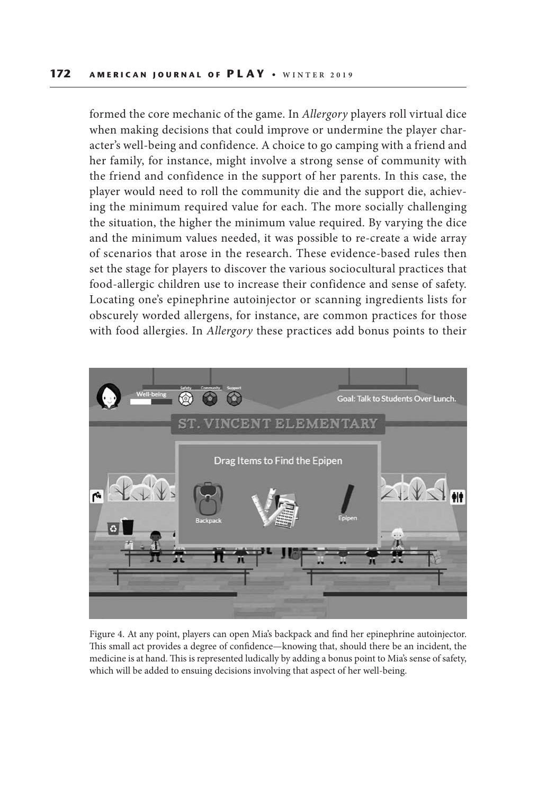formed the core mechanic of the game. In *Allergory* players roll virtual dice when making decisions that could improve or undermine the player character's well-being and confidence. A choice to go camping with a friend and her family, for instance, might involve a strong sense of community with the friend and confidence in the support of her parents. In this case, the player would need to roll the community die and the support die, achieving the minimum required value for each. The more socially challenging the situation, the higher the minimum value required. By varying the dice and the minimum values needed, it was possible to re-create a wide array of scenarios that arose in the research. These evidence-based rules then set the stage for players to discover the various sociocultural practices that food-allergic children use to increase their confidence and sense of safety. Locating one's epinephrine autoinjector or scanning ingredients lists for obscurely worded allergens, for instance, are common practices for those with food allergies. In *Allergory* these practices add bonus points to their



Figure 4. At any point, players can open Mia's backpack and find her epinephrine autoinjector. This small act provides a degree of confidence—knowing that, should there be an incident, the medicine is at hand. This is represented ludically by adding a bonus point to Mia's sense of safety, which will be added to ensuing decisions involving that aspect of her well-being.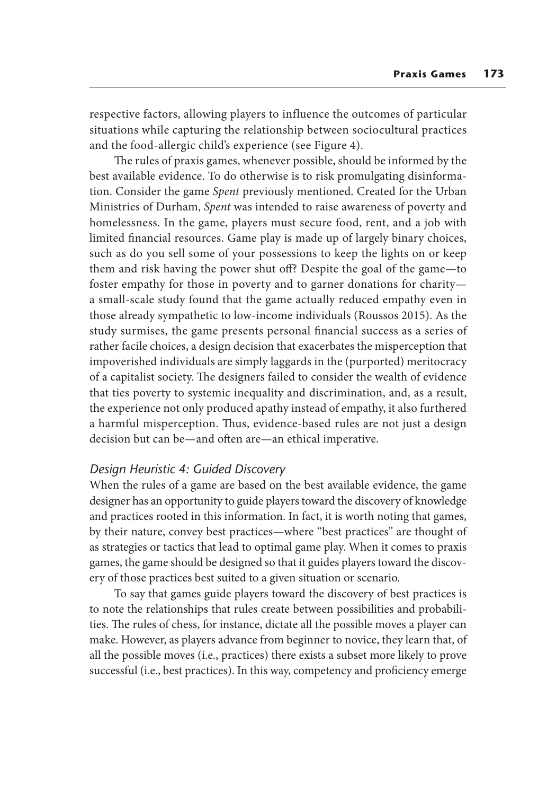respective factors, allowing players to influence the outcomes of particular situations while capturing the relationship between sociocultural practices and the food-allergic child's experience (see Figure 4).

The rules of praxis games, whenever possible, should be informed by the best available evidence. To do otherwise is to risk promulgating disinformation. Consider the game *Spent* previously mentioned. Created for the Urban Ministries of Durham, *Spent* was intended to raise awareness of poverty and homelessness. In the game, players must secure food, rent, and a job with limited financial resources. Game play is made up of largely binary choices, such as do you sell some of your possessions to keep the lights on or keep them and risk having the power shut off? Despite the goal of the game—to foster empathy for those in poverty and to garner donations for charity a small-scale study found that the game actually reduced empathy even in those already sympathetic to low-income individuals (Roussos 2015). As the study surmises, the game presents personal financial success as a series of rather facile choices, a design decision that exacerbates the misperception that impoverished individuals are simply laggards in the (purported) meritocracy of a capitalist society. The designers failed to consider the wealth of evidence that ties poverty to systemic inequality and discrimination, and, as a result, the experience not only produced apathy instead of empathy, it also furthered a harmful misperception. Thus, evidence-based rules are not just a design decision but can be—and often are—an ethical imperative.

## *Design Heuristic 4: Guided Discovery*

When the rules of a game are based on the best available evidence, the game designer has an opportunity to guide players toward the discovery of knowledge and practices rooted in this information. In fact, it is worth noting that games, by their nature, convey best practices—where "best practices" are thought of as strategies or tactics that lead to optimal game play. When it comes to praxis games, the game should be designed so that it guides players toward the discovery of those practices best suited to a given situation or scenario.

To say that games guide players toward the discovery of best practices is to note the relationships that rules create between possibilities and probabilities. The rules of chess, for instance, dictate all the possible moves a player can make. However, as players advance from beginner to novice, they learn that, of all the possible moves (i.e., practices) there exists a subset more likely to prove successful (i.e., best practices). In this way, competency and proficiency emerge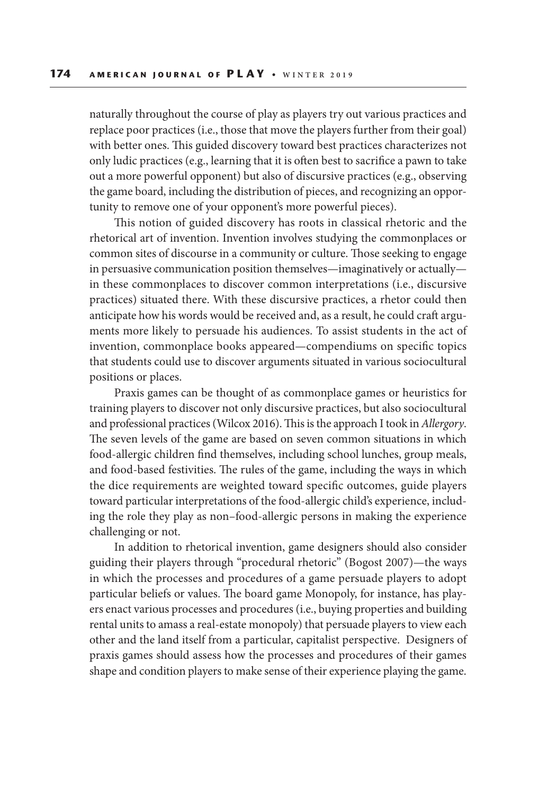naturally throughout the course of play as players try out various practices and replace poor practices (i.e., those that move the players further from their goal) with better ones. This guided discovery toward best practices characterizes not only ludic practices (e.g., learning that it is often best to sacrifice a pawn to take out a more powerful opponent) but also of discursive practices (e.g., observing the game board, including the distribution of pieces, and recognizing an opportunity to remove one of your opponent's more powerful pieces).

This notion of guided discovery has roots in classical rhetoric and the rhetorical art of invention. Invention involves studying the commonplaces or common sites of discourse in a community or culture. Those seeking to engage in persuasive communication position themselves—imaginatively or actually in these commonplaces to discover common interpretations (i.e., discursive practices) situated there. With these discursive practices, a rhetor could then anticipate how his words would be received and, as a result, he could craft arguments more likely to persuade his audiences. To assist students in the act of invention, commonplace books appeared—compendiums on specific topics that students could use to discover arguments situated in various sociocultural positions or places.

Praxis games can be thought of as commonplace games or heuristics for training players to discover not only discursive practices, but also sociocultural and professional practices (Wilcox 2016). This is the approach I took in *Allergory*. The seven levels of the game are based on seven common situations in which food-allergic children find themselves, including school lunches, group meals, and food-based festivities. The rules of the game, including the ways in which the dice requirements are weighted toward specific outcomes, guide players toward particular interpretations of the food-allergic child's experience, including the role they play as non–food-allergic persons in making the experience challenging or not.

In addition to rhetorical invention, game designers should also consider guiding their players through "procedural rhetoric" (Bogost 2007)—the ways in which the processes and procedures of a game persuade players to adopt particular beliefs or values. The board game Monopoly, for instance, has players enact various processes and procedures (i.e., buying properties and building rental units to amass a real-estate monopoly) that persuade players to view each other and the land itself from a particular, capitalist perspective. Designers of praxis games should assess how the processes and procedures of their games shape and condition players to make sense of their experience playing the game.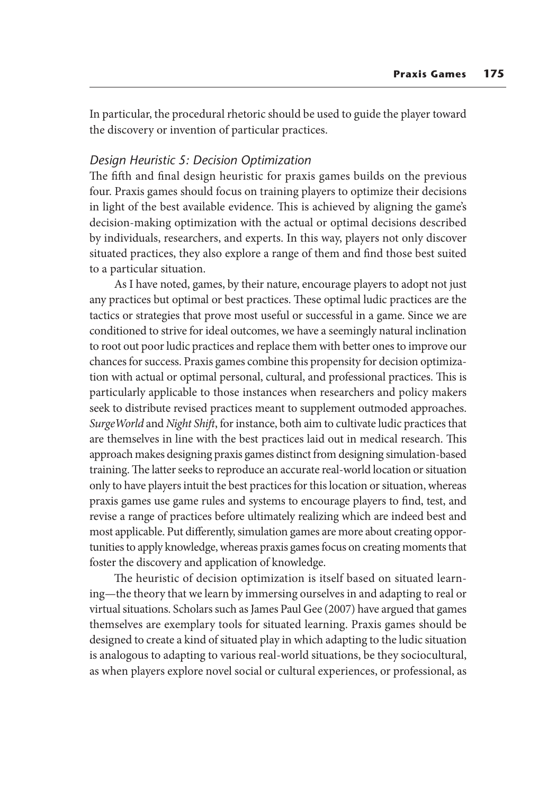In particular, the procedural rhetoric should be used to guide the player toward the discovery or invention of particular practices.

## *Design Heuristic 5: Decision Optimization*

The fifth and final design heuristic for praxis games builds on the previous four. Praxis games should focus on training players to optimize their decisions in light of the best available evidence. This is achieved by aligning the game's decision-making optimization with the actual or optimal decisions described by individuals, researchers, and experts. In this way, players not only discover situated practices, they also explore a range of them and find those best suited to a particular situation.

As I have noted, games, by their nature, encourage players to adopt not just any practices but optimal or best practices. These optimal ludic practices are the tactics or strategies that prove most useful or successful in a game. Since we are conditioned to strive for ideal outcomes, we have a seemingly natural inclination to root out poor ludic practices and replace them with better ones to improve our chances for success. Praxis games combine this propensity for decision optimization with actual or optimal personal, cultural, and professional practices. This is particularly applicable to those instances when researchers and policy makers seek to distribute revised practices meant to supplement outmoded approaches. *SurgeWorld* and *Night Shift*, for instance, both aim to cultivate ludic practices that are themselves in line with the best practices laid out in medical research. This approach makes designing praxis games distinct from designing simulation-based training. The latter seeks to reproduce an accurate real-world location or situation only to have players intuit the best practices for this location or situation, whereas praxis games use game rules and systems to encourage players to find, test, and revise a range of practices before ultimately realizing which are indeed best and most applicable. Put differently, simulation games are more about creating opportunities to apply knowledge, whereas praxis games focus on creating moments that foster the discovery and application of knowledge.

The heuristic of decision optimization is itself based on situated learning—the theory that we learn by immersing ourselves in and adapting to real or virtual situations. Scholars such as James Paul Gee (2007) have argued that games themselves are exemplary tools for situated learning. Praxis games should be designed to create a kind of situated play in which adapting to the ludic situation is analogous to adapting to various real-world situations, be they sociocultural, as when players explore novel social or cultural experiences, or professional, as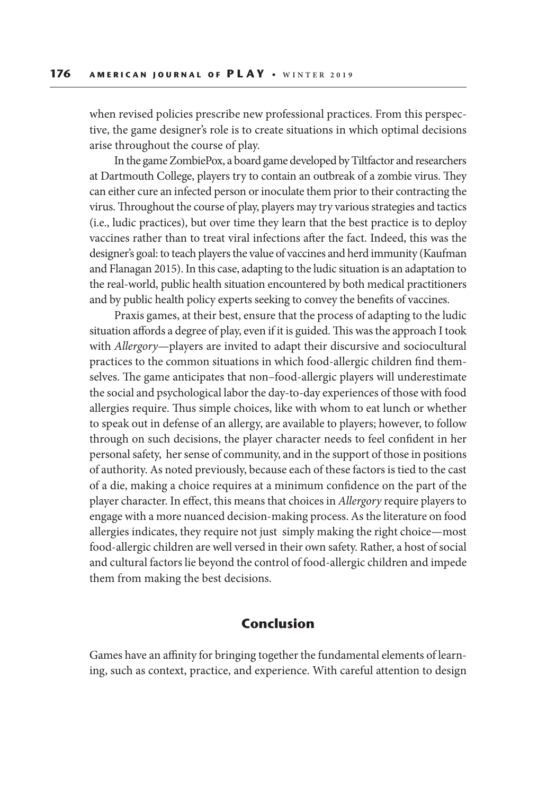when revised policies prescribe new professional practices. From this perspective, the game designer's role is to create situations in which optimal decisions arise throughout the course of play.

In the game ZombiePox, a board game developed by Tiltfactor and researchers at Dartmouth College, players try to contain an outbreak of a zombie virus. They can either cure an infected person or inoculate them prior to their contracting the virus. Throughout the course of play, players may try various strategies and tactics (i.e., ludic practices), but over time they learn that the best practice is to deploy vaccines rather than to treat viral infections after the fact. Indeed, this was the designer's goal: to teach players the value of vaccines and herd immunity (Kaufman and Flanagan 2015). In this case, adapting to the ludic situation is an adaptation to the real-world, public health situation encountered by both medical practitioners and by public health policy experts seeking to convey the benefits of vaccines.

Praxis games, at their best, ensure that the process of adapting to the ludic situation affords a degree of play, even if it is guided. This was the approach I took with *Allergory*—players are invited to adapt their discursive and sociocultural practices to the common situations in which food-allergic children find themselves. The game anticipates that non–food-allergic players will underestimate the social and psychological labor the day-to-day experiences of those with food allergies require. Thus simple choices, like with whom to eat lunch or whether to speak out in defense of an allergy, are available to players; however, to follow through on such decisions, the player character needs to feel confident in her personal safety, her sense of community, and in the support of those in positions of authority. As noted previously, because each of these factors is tied to the cast of a die, making a choice requires at a minimum confidence on the part of the player character. In effect, this means that choices in *Allergory* require players to engage with a more nuanced decision-making process. As the literature on food allergies indicates, they require not just simply making the right choice—most food-allergic children are well versed in their own safety. Rather, a host of social and cultural factors lie beyond the control of food-allergic children and impede them from making the best decisions.

# **Conclusion**

Games have an affinity for bringing together the fundamental elements of learning, such as context, practice, and experience. With careful attention to design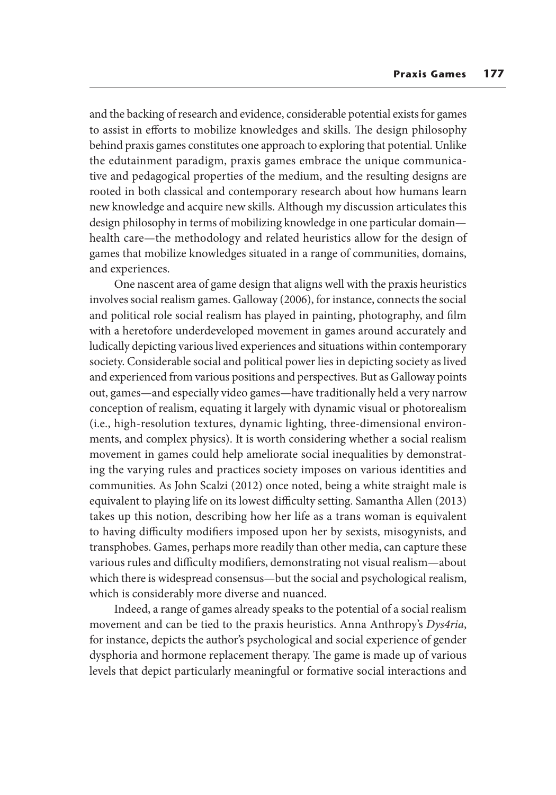and the backing of research and evidence, considerable potential exists for games to assist in efforts to mobilize knowledges and skills. The design philosophy behind praxis games constitutes one approach to exploring that potential. Unlike the edutainment paradigm, praxis games embrace the unique communicative and pedagogical properties of the medium, and the resulting designs are rooted in both classical and contemporary research about how humans learn new knowledge and acquire new skills. Although my discussion articulates this design philosophy in terms of mobilizing knowledge in one particular domain health care—the methodology and related heuristics allow for the design of games that mobilize knowledges situated in a range of communities, domains, and experiences.

One nascent area of game design that aligns well with the praxis heuristics involves social realism games. Galloway (2006), for instance, connects the social and political role social realism has played in painting, photography, and film with a heretofore underdeveloped movement in games around accurately and ludically depicting various lived experiences and situations within contemporary society. Considerable social and political power lies in depicting society as lived and experienced from various positions and perspectives. But as Galloway points out, games—and especially video games—have traditionally held a very narrow conception of realism, equating it largely with dynamic visual or photorealism (i.e., high-resolution textures, dynamic lighting, three-dimensional environments, and complex physics). It is worth considering whether a social realism movement in games could help ameliorate social inequalities by demonstrating the varying rules and practices society imposes on various identities and communities. As John Scalzi (2012) once noted, being a white straight male is equivalent to playing life on its lowest difficulty setting. Samantha Allen (2013) takes up this notion, describing how her life as a trans woman is equivalent to having difficulty modifiers imposed upon her by sexists, misogynists, and transphobes. Games, perhaps more readily than other media, can capture these various rules and difficulty modifiers, demonstrating not visual realism—about which there is widespread consensus—but the social and psychological realism, which is considerably more diverse and nuanced.

Indeed, a range of games already speaks to the potential of a social realism movement and can be tied to the praxis heuristics. Anna Anthropy's *Dys4ria*, for instance, depicts the author's psychological and social experience of gender dysphoria and hormone replacement therapy. The game is made up of various levels that depict particularly meaningful or formative social interactions and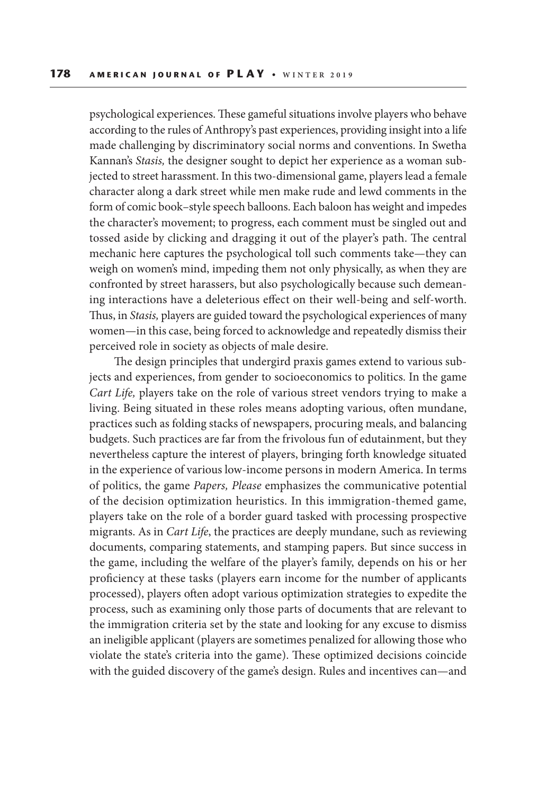psychological experiences. These gameful situations involve players who behave according to the rules of Anthropy's past experiences, providing insight into a life made challenging by discriminatory social norms and conventions. In Swetha Kannan's *Stasis,* the designer sought to depict her experience as a woman subjected to street harassment. In this two-dimensional game, players lead a female character along a dark street while men make rude and lewd comments in the form of comic book–style speech balloons. Each baloon has weight and impedes the character's movement; to progress, each comment must be singled out and tossed aside by clicking and dragging it out of the player's path. The central mechanic here captures the psychological toll such comments take—they can weigh on women's mind, impeding them not only physically, as when they are confronted by street harassers, but also psychologically because such demeaning interactions have a deleterious effect on their well-being and self-worth. Thus, in *Stasis,* players are guided toward the psychological experiences of many women—in this case, being forced to acknowledge and repeatedly dismiss their perceived role in society as objects of male desire.

The design principles that undergird praxis games extend to various subjects and experiences, from gender to socioeconomics to politics. In the game *Cart Life,* players take on the role of various street vendors trying to make a living. Being situated in these roles means adopting various, often mundane, practices such as folding stacks of newspapers, procuring meals, and balancing budgets. Such practices are far from the frivolous fun of edutainment, but they nevertheless capture the interest of players, bringing forth knowledge situated in the experience of various low-income persons in modern America. In terms of politics, the game *Papers, Please* emphasizes the communicative potential of the decision optimization heuristics. In this immigration-themed game, players take on the role of a border guard tasked with processing prospective migrants. As in *Cart Life*, the practices are deeply mundane, such as reviewing documents, comparing statements, and stamping papers. But since success in the game, including the welfare of the player's family, depends on his or her proficiency at these tasks (players earn income for the number of applicants processed), players often adopt various optimization strategies to expedite the process, such as examining only those parts of documents that are relevant to the immigration criteria set by the state and looking for any excuse to dismiss an ineligible applicant (players are sometimes penalized for allowing those who violate the state's criteria into the game). These optimized decisions coincide with the guided discovery of the game's design. Rules and incentives can—and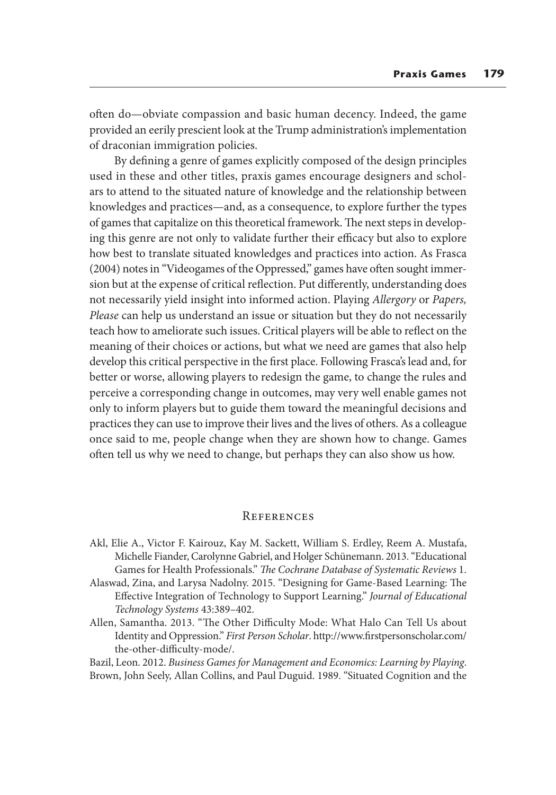often do—obviate compassion and basic human decency. Indeed, the game provided an eerily prescient look at the Trump administration's implementation of draconian immigration policies.

By defining a genre of games explicitly composed of the design principles used in these and other titles, praxis games encourage designers and scholars to attend to the situated nature of knowledge and the relationship between knowledges and practices—and, as a consequence, to explore further the types of games that capitalize on this theoretical framework. The next steps in developing this genre are not only to validate further their efficacy but also to explore how best to translate situated knowledges and practices into action. As Frasca (2004) notes in "Videogames of the Oppressed," games have often sought immersion but at the expense of critical reflection. Put differently, understanding does not necessarily yield insight into informed action. Playing *Allergory* or *Papers, Please* can help us understand an issue or situation but they do not necessarily teach how to ameliorate such issues. Critical players will be able to reflect on the meaning of their choices or actions, but what we need are games that also help develop this critical perspective in the first place. Following Frasca's lead and, for better or worse, allowing players to redesign the game, to change the rules and perceive a corresponding change in outcomes, may very well enable games not only to inform players but to guide them toward the meaningful decisions and practices they can use to improve their lives and the lives of others. As a colleague once said to me, people change when they are shown how to change. Games often tell us why we need to change, but perhaps they can also show us how.

# **REFERENCES**

- Akl, Elie A., Victor F. Kairouz, Kay M. Sackett, William S. Erdley, Reem A. Mustafa, Michelle Fiander, Carolynne Gabriel, and Holger Schünemann. 2013. "Educational Games for Health Professionals." *The Cochrane Database of Systematic Reviews* 1.
- Alaswad, Zina, and Larysa Nadolny. 2015. "Designing for Game-Based Learning: The Effective Integration of Technology to Support Learning." *Journal of Educational Technology Systems* 43:389–402.
- Allen, Samantha. 2013. "The Other Difficulty Mode: What Halo Can Tell Us about Identity and Oppression." *First Person Scholar*. http://www.firstpersonscholar.com/ the-other-difficulty-mode/.

Bazil, Leon. 2012. *Business Games for Management and Economics: Learning by Playing*. Brown, John Seely, Allan Collins, and Paul Duguid. 1989. "Situated Cognition and the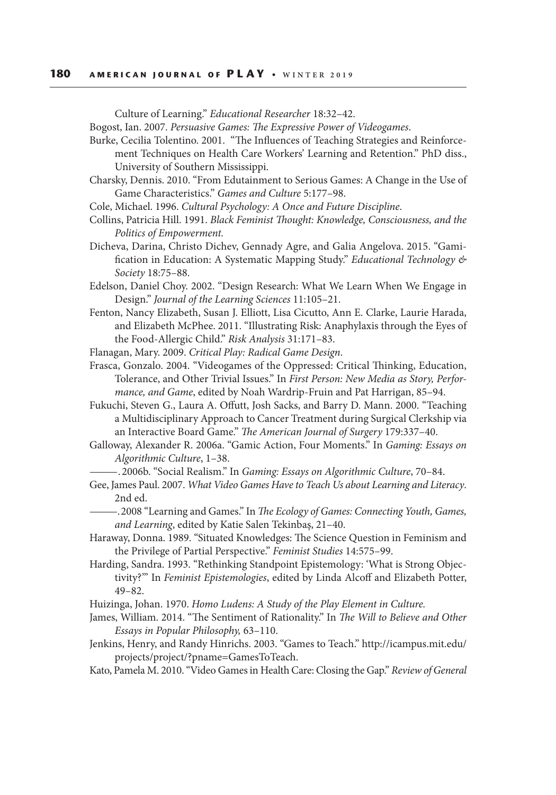#### **180 AMERICAN JOURNAL OF PLAY • WINTER 2019**

Culture of Learning." *Educational Researcher* 18:32–42.

Bogost, Ian. 2007. *Persuasive Games: The Expressive Power of Videogames*.

Burke, Cecilia Tolentino. 2001. "The Influences of Teaching Strategies and Reinforcement Techniques on Health Care Workers' Learning and Retention." PhD diss., University of Southern Mississippi.

- Charsky, Dennis. 2010. "From Edutainment to Serious Games: A Change in the Use of Game Characteristics." *Games and Culture* 5:177–98.
- Cole, Michael. 1996. *Cultural Psychology: A Once and Future Discipline*.

Collins, Patricia Hill. 1991. *Black Feminist Thought: Knowledge, Consciousness, and the Politics of Empowerment.*

Dicheva, Darina, Christo Dichev, Gennady Agre, and Galia Angelova. 2015. "Gamification in Education: A Systematic Mapping Study." *Educational Technology & Society* 18:75–88.

Edelson, Daniel Choy. 2002. "Design Research: What We Learn When We Engage in Design." *Journal of the Learning Sciences* 11:105–21.

Fenton, Nancy Elizabeth, Susan J. Elliott, Lisa Cicutto, Ann E. Clarke, Laurie Harada, and Elizabeth McPhee. 2011. "Illustrating Risk: Anaphylaxis through the Eyes of the Food-Allergic Child." *Risk Analysis* 31:171–83.

Flanagan, Mary. 2009. *Critical Play: Radical Game Design*.

Frasca, Gonzalo. 2004. "Videogames of the Oppressed: Critical Thinking, Education, Tolerance, and Other Trivial Issues." In *First Person: New Media as Story, Performance, and Game*, edited by Noah Wardrip-Fruin and Pat Harrigan, 85–94.

Fukuchi, Steven G., Laura A. Offutt, Josh Sacks, and Barry D. Mann. 2000. "Teaching a Multidisciplinary Approach to Cancer Treatment during Surgical Clerkship via an Interactive Board Game." *The American Journal of Surgery* 179:337–40.

Galloway, Alexander R. 2006a. "Gamic Action, Four Moments." In *Gaming: Essays on Algorithmic Culture*, 1–38.

——— . 2006b. "Social Realism." In *Gaming: Essays on Algorithmic Culture*, 70–84.

- Gee, James Paul. 2007. *What Video Games Have to Teach Us about Learning and Literacy*. 2nd ed.
	- ——— . 2008 "Learning and Games." In *The Ecology of Games: Connecting Youth, Games, and Learning*, edited by Katie Salen Tekinbaş, 21–40.
- Haraway, Donna. 1989. "Situated Knowledges: The Science Question in Feminism and the Privilege of Partial Perspective." *Feminist Studies* 14:575–99.
- Harding, Sandra. 1993. "Rethinking Standpoint Epistemology: 'What is Strong Objectivity?'" In *Feminist Epistemologies*, edited by Linda Alcoff and Elizabeth Potter, 49–82.

Huizinga, Johan. 1970. *Homo Ludens: A Study of the Play Element in Culture.*

- James, William. 2014. "The Sentiment of Rationality." In *The Will to Believe and Other Essays in Popular Philosophy,* 63–110.
- Jenkins, Henry, and Randy Hinrichs. 2003. "Games to Teach." http://icampus.mit.edu/ projects/project/?pname=GamesToTeach.
- Kato, Pamela M. 2010. "Video Games in Health Care: Closing the Gap." *Review of General*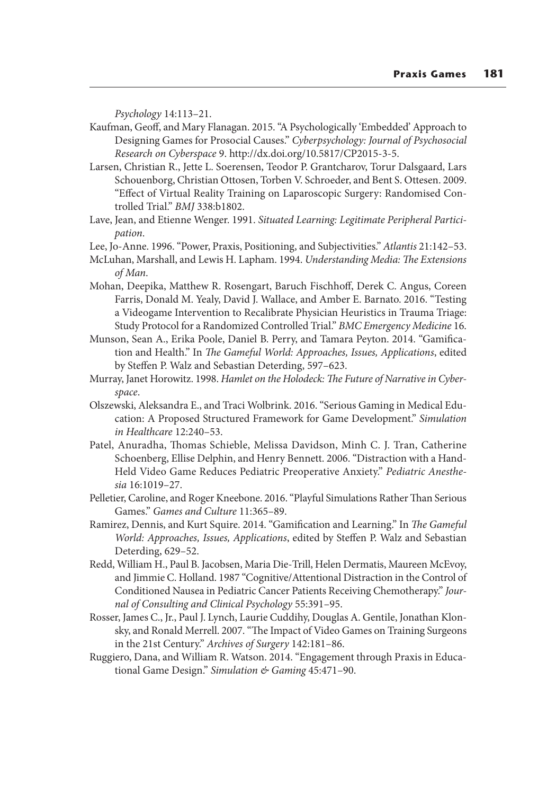*Psychology* 14:113–21.

Kaufman, Geoff, and Mary Flanagan. 2015. "A Psychologically 'Embedded' Approach to Designing Games for Prosocial Causes." *Cyberpsychology: Journal of Psychosocial Research on Cyberspace* 9. http://dx.doi.org/10.5817/CP2015-3-5.

Larsen, Christian R., Jette L. Soerensen, Teodor P. Grantcharov, Torur Dalsgaard, Lars Schouenborg, Christian Ottosen, Torben V. Schroeder, and Bent S. Ottesen. 2009. "Effect of Virtual Reality Training on Laparoscopic Surgery: Randomised Controlled Trial." *BMJ* 338:b1802.

Lave, Jean, and Etienne Wenger. 1991. *Situated Learning: Legitimate Peripheral Participation*.

Lee, Jo-Anne. 1996. "Power, Praxis, Positioning, and Subjectivities." *Atlantis* 21:142–53.

McLuhan, Marshall, and Lewis H. Lapham. 1994. *Understanding Media: The Extensions of Man*.

Mohan, Deepika, Matthew R. Rosengart, Baruch Fischhoff, Derek C. Angus, Coreen Farris, Donald M. Yealy, David J. Wallace, and Amber E. Barnato. 2016. "Testing a Videogame Intervention to Recalibrate Physician Heuristics in Trauma Triage: Study Protocol for a Randomized Controlled Trial." *BMC Emergency Medicine* 16.

- Munson, Sean A., Erika Poole, Daniel B. Perry, and Tamara Peyton. 2014. "Gamification and Health." In *The Gameful World: Approaches, Issues, Applications*, edited by Steffen P. Walz and Sebastian Deterding, 597–623.
- Murray, Janet Horowitz. 1998. *Hamlet on the Holodeck: The Future of Narrative in Cyberspace*.
- Olszewski, Aleksandra E., and Traci Wolbrink. 2016. "Serious Gaming in Medical Education: A Proposed Structured Framework for Game Development." *Simulation in Healthcare* 12:240–53.
- Patel, Anuradha, Thomas Schieble, Melissa Davidson, Minh C. J. Tran, Catherine Schoenberg, Ellise Delphin, and Henry Bennett. 2006. "Distraction with a Hand-Held Video Game Reduces Pediatric Preoperative Anxiety." *Pediatric Anesthesia* 16:1019–27.
- Pelletier, Caroline, and Roger Kneebone. 2016. "Playful Simulations Rather Than Serious Games." *Games and Culture* 11:365–89.
- Ramirez, Dennis, and Kurt Squire. 2014. "Gamification and Learning." In *The Gameful World: Approaches, Issues, Applications*, edited by Steffen P. Walz and Sebastian Deterding, 629–52.
- Redd, William H., Paul B. Jacobsen, Maria Die-Trill, Helen Dermatis, Maureen McEvoy, and Jimmie C. Holland. 1987 "Cognitive/Attentional Distraction in the Control of Conditioned Nausea in Pediatric Cancer Patients Receiving Chemotherapy." *Journal of Consulting and Clinical Psychology* 55:391–95.
- Rosser, James C., Jr., Paul J. Lynch, Laurie Cuddihy, Douglas A. Gentile, Jonathan Klonsky, and Ronald Merrell. 2007. "The Impact of Video Games on Training Surgeons in the 21st Century." *Archives of Surgery* 142:181–86.
- Ruggiero, Dana, and William R. Watson. 2014. "Engagement through Praxis in Educational Game Design." *Simulation & Gaming* 45:471–90.